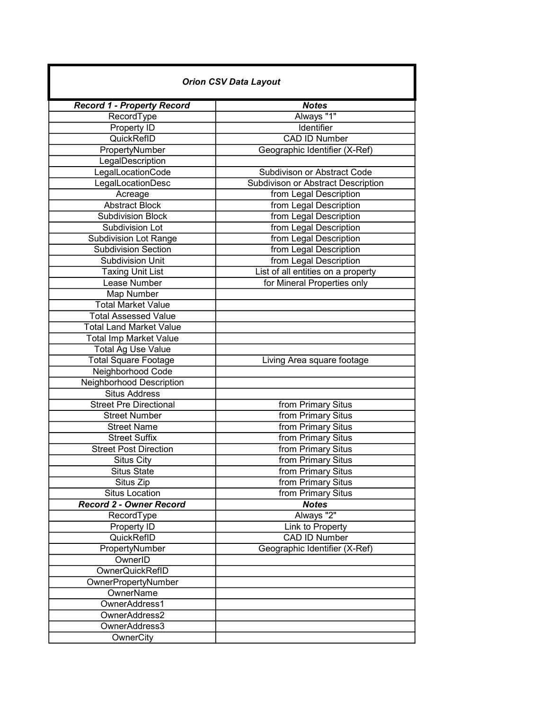| <b>Orion CSV Data Layout</b>      |                                    |
|-----------------------------------|------------------------------------|
| <b>Record 1 - Property Record</b> | <b>Notes</b>                       |
| RecordType                        | Always "1"                         |
| Property ID                       | Identifier                         |
| QuickRefID                        | <b>CAD ID Number</b>               |
| PropertyNumber                    | Geographic Identifier (X-Ref)      |
| LegalDescription                  |                                    |
| LegalLocationCode                 | Subdivison or Abstract Code        |
| LegalLocationDesc                 | Subdivison or Abstract Description |
| Acreage                           | from Legal Description             |
| <b>Abstract Block</b>             | from Legal Description             |
| <b>Subdivision Block</b>          | from Legal Description             |
| Subdivision Lot                   | from Legal Description             |
| <b>Subdivision Lot Range</b>      | from Legal Description             |
| Subdivision Section               | from Legal Description             |
| <b>Subdivision Unit</b>           | from Legal Description             |
| <b>Taxing Unit List</b>           | List of all entities on a property |
| Lease Number                      | for Mineral Properties only        |
| Map Number                        |                                    |
| <b>Total Market Value</b>         |                                    |
| <b>Total Assessed Value</b>       |                                    |
| <b>Total Land Market Value</b>    |                                    |
| <b>Total Imp Market Value</b>     |                                    |
| <b>Total Ag Use Value</b>         |                                    |
| <b>Total Square Footage</b>       | Living Area square footage         |
| Neighborhood Code                 |                                    |
| Neighborhood Description          |                                    |
| <b>Situs Address</b>              |                                    |
| <b>Street Pre Directional</b>     | from Primary Situs                 |
| <b>Street Number</b>              | from Primary Situs                 |
| <b>Street Name</b>                | from Primary Situs                 |
| <b>Street Suffix</b>              | from Primary Situs                 |
| <b>Street Post Direction</b>      | from Primary Situs                 |
| <b>Situs City</b>                 | from Primary Situs                 |
| <b>Situs State</b>                | from Primary Situs                 |
| Situs Zip                         | from Primary Situs                 |
| <b>Situs Location</b>             | from Primary Situs                 |
| <b>Record 2 - Owner Record</b>    | <b>Notes</b>                       |
| RecordType                        | Always "2"                         |
| Property ID                       | Link to Property                   |
| QuickRefID                        | <b>CAD ID Number</b>               |
| PropertyNumber                    | Geographic Identifier (X-Ref)      |
| OwnerID                           |                                    |
| <b>OwnerQuickRefID</b>            |                                    |
| OwnerPropertyNumber               |                                    |
| <b>OwnerName</b>                  |                                    |
| OwnerAddress1                     |                                    |
| OwnerAddress2                     |                                    |
| OwnerAddress3                     |                                    |
| OwnerCity                         |                                    |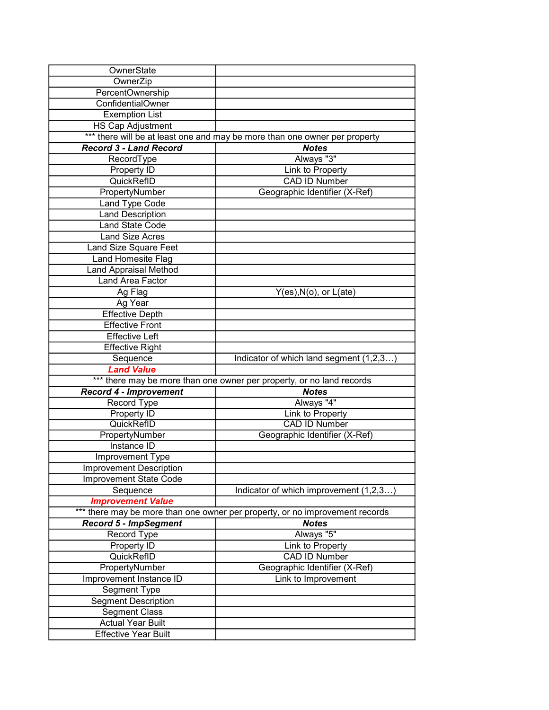| OwnerState<br>OwnerZip<br>PercentOwnership<br><b>ConfidentialOwner</b><br><b>Exemption List</b><br><b>HS Cap Adjustment</b><br>*** there will be at least one and may be more than one owner per property<br><b>Record 3 - Land Record</b><br><b>Notes</b><br>Always "3"<br>RecordType<br>Link to Property<br>Property ID<br><b>CAD ID Number</b><br>QuickRefID<br>Geographic Identifier (X-Ref)<br>PropertyNumber<br>Land Type Code<br><b>Land Description</b><br><b>Land State Code</b><br><b>Land Size Acres</b><br>Land Size Square Feet<br>Land Homesite Flag<br><b>Land Appraisal Method</b><br>Land Area Factor<br>$Y(es), N(o),$ or $L(ate)$<br>Ag Flag<br>Ag Year<br><b>Effective Depth</b><br><b>Effective Front</b><br><b>Effective Left</b><br><b>Effective Right</b><br>Indicator of which land segment (1,2,3)<br>Sequence<br><b>Land Value</b><br>*** there may be more than one owner per property, or no land records<br><b>Record 4 - Improvement</b><br><b>Notes</b><br>Always "4"<br>Record Type<br>Property ID<br>Link to Property<br>QuickRefID<br><b>CAD ID Number</b><br>PropertyNumber<br>Geographic Identifier (X-Ref)<br>Instance ID<br>Improvement Type<br>Improvement Description<br><b>Improvement State Code</b><br>Indicator of which improvement (1,2,3)<br>Sequence<br><b>Improvement Value</b><br>*** there may be more than one owner per property, or no improvement records<br><b>Record 5 - ImpSegment</b><br><b>Notes</b><br>Always "5"<br>Record Type<br>Property ID<br>Link to Property<br><b>CAD ID Number</b><br>QuickRefID<br>Geographic Identifier (X-Ref)<br>PropertyNumber<br>Improvement Instance ID<br>Link to Improvement<br>Segment Type<br><b>Segment Description</b><br><b>Segment Class</b><br><b>Actual Year Built</b> |  |  |  |
|--------------------------------------------------------------------------------------------------------------------------------------------------------------------------------------------------------------------------------------------------------------------------------------------------------------------------------------------------------------------------------------------------------------------------------------------------------------------------------------------------------------------------------------------------------------------------------------------------------------------------------------------------------------------------------------------------------------------------------------------------------------------------------------------------------------------------------------------------------------------------------------------------------------------------------------------------------------------------------------------------------------------------------------------------------------------------------------------------------------------------------------------------------------------------------------------------------------------------------------------------------------------------------------------------------------------------------------------------------------------------------------------------------------------------------------------------------------------------------------------------------------------------------------------------------------------------------------------------------------------------------------------------------------------------------------------------------------------------------------------------------------------------------|--|--|--|
|                                                                                                                                                                                                                                                                                                                                                                                                                                                                                                                                                                                                                                                                                                                                                                                                                                                                                                                                                                                                                                                                                                                                                                                                                                                                                                                                                                                                                                                                                                                                                                                                                                                                                                                                                                                |  |  |  |
|                                                                                                                                                                                                                                                                                                                                                                                                                                                                                                                                                                                                                                                                                                                                                                                                                                                                                                                                                                                                                                                                                                                                                                                                                                                                                                                                                                                                                                                                                                                                                                                                                                                                                                                                                                                |  |  |  |
|                                                                                                                                                                                                                                                                                                                                                                                                                                                                                                                                                                                                                                                                                                                                                                                                                                                                                                                                                                                                                                                                                                                                                                                                                                                                                                                                                                                                                                                                                                                                                                                                                                                                                                                                                                                |  |  |  |
|                                                                                                                                                                                                                                                                                                                                                                                                                                                                                                                                                                                                                                                                                                                                                                                                                                                                                                                                                                                                                                                                                                                                                                                                                                                                                                                                                                                                                                                                                                                                                                                                                                                                                                                                                                                |  |  |  |
|                                                                                                                                                                                                                                                                                                                                                                                                                                                                                                                                                                                                                                                                                                                                                                                                                                                                                                                                                                                                                                                                                                                                                                                                                                                                                                                                                                                                                                                                                                                                                                                                                                                                                                                                                                                |  |  |  |
|                                                                                                                                                                                                                                                                                                                                                                                                                                                                                                                                                                                                                                                                                                                                                                                                                                                                                                                                                                                                                                                                                                                                                                                                                                                                                                                                                                                                                                                                                                                                                                                                                                                                                                                                                                                |  |  |  |
|                                                                                                                                                                                                                                                                                                                                                                                                                                                                                                                                                                                                                                                                                                                                                                                                                                                                                                                                                                                                                                                                                                                                                                                                                                                                                                                                                                                                                                                                                                                                                                                                                                                                                                                                                                                |  |  |  |
|                                                                                                                                                                                                                                                                                                                                                                                                                                                                                                                                                                                                                                                                                                                                                                                                                                                                                                                                                                                                                                                                                                                                                                                                                                                                                                                                                                                                                                                                                                                                                                                                                                                                                                                                                                                |  |  |  |
|                                                                                                                                                                                                                                                                                                                                                                                                                                                                                                                                                                                                                                                                                                                                                                                                                                                                                                                                                                                                                                                                                                                                                                                                                                                                                                                                                                                                                                                                                                                                                                                                                                                                                                                                                                                |  |  |  |
|                                                                                                                                                                                                                                                                                                                                                                                                                                                                                                                                                                                                                                                                                                                                                                                                                                                                                                                                                                                                                                                                                                                                                                                                                                                                                                                                                                                                                                                                                                                                                                                                                                                                                                                                                                                |  |  |  |
|                                                                                                                                                                                                                                                                                                                                                                                                                                                                                                                                                                                                                                                                                                                                                                                                                                                                                                                                                                                                                                                                                                                                                                                                                                                                                                                                                                                                                                                                                                                                                                                                                                                                                                                                                                                |  |  |  |
|                                                                                                                                                                                                                                                                                                                                                                                                                                                                                                                                                                                                                                                                                                                                                                                                                                                                                                                                                                                                                                                                                                                                                                                                                                                                                                                                                                                                                                                                                                                                                                                                                                                                                                                                                                                |  |  |  |
|                                                                                                                                                                                                                                                                                                                                                                                                                                                                                                                                                                                                                                                                                                                                                                                                                                                                                                                                                                                                                                                                                                                                                                                                                                                                                                                                                                                                                                                                                                                                                                                                                                                                                                                                                                                |  |  |  |
|                                                                                                                                                                                                                                                                                                                                                                                                                                                                                                                                                                                                                                                                                                                                                                                                                                                                                                                                                                                                                                                                                                                                                                                                                                                                                                                                                                                                                                                                                                                                                                                                                                                                                                                                                                                |  |  |  |
|                                                                                                                                                                                                                                                                                                                                                                                                                                                                                                                                                                                                                                                                                                                                                                                                                                                                                                                                                                                                                                                                                                                                                                                                                                                                                                                                                                                                                                                                                                                                                                                                                                                                                                                                                                                |  |  |  |
|                                                                                                                                                                                                                                                                                                                                                                                                                                                                                                                                                                                                                                                                                                                                                                                                                                                                                                                                                                                                                                                                                                                                                                                                                                                                                                                                                                                                                                                                                                                                                                                                                                                                                                                                                                                |  |  |  |
|                                                                                                                                                                                                                                                                                                                                                                                                                                                                                                                                                                                                                                                                                                                                                                                                                                                                                                                                                                                                                                                                                                                                                                                                                                                                                                                                                                                                                                                                                                                                                                                                                                                                                                                                                                                |  |  |  |
|                                                                                                                                                                                                                                                                                                                                                                                                                                                                                                                                                                                                                                                                                                                                                                                                                                                                                                                                                                                                                                                                                                                                                                                                                                                                                                                                                                                                                                                                                                                                                                                                                                                                                                                                                                                |  |  |  |
|                                                                                                                                                                                                                                                                                                                                                                                                                                                                                                                                                                                                                                                                                                                                                                                                                                                                                                                                                                                                                                                                                                                                                                                                                                                                                                                                                                                                                                                                                                                                                                                                                                                                                                                                                                                |  |  |  |
|                                                                                                                                                                                                                                                                                                                                                                                                                                                                                                                                                                                                                                                                                                                                                                                                                                                                                                                                                                                                                                                                                                                                                                                                                                                                                                                                                                                                                                                                                                                                                                                                                                                                                                                                                                                |  |  |  |
|                                                                                                                                                                                                                                                                                                                                                                                                                                                                                                                                                                                                                                                                                                                                                                                                                                                                                                                                                                                                                                                                                                                                                                                                                                                                                                                                                                                                                                                                                                                                                                                                                                                                                                                                                                                |  |  |  |
|                                                                                                                                                                                                                                                                                                                                                                                                                                                                                                                                                                                                                                                                                                                                                                                                                                                                                                                                                                                                                                                                                                                                                                                                                                                                                                                                                                                                                                                                                                                                                                                                                                                                                                                                                                                |  |  |  |
|                                                                                                                                                                                                                                                                                                                                                                                                                                                                                                                                                                                                                                                                                                                                                                                                                                                                                                                                                                                                                                                                                                                                                                                                                                                                                                                                                                                                                                                                                                                                                                                                                                                                                                                                                                                |  |  |  |
|                                                                                                                                                                                                                                                                                                                                                                                                                                                                                                                                                                                                                                                                                                                                                                                                                                                                                                                                                                                                                                                                                                                                                                                                                                                                                                                                                                                                                                                                                                                                                                                                                                                                                                                                                                                |  |  |  |
|                                                                                                                                                                                                                                                                                                                                                                                                                                                                                                                                                                                                                                                                                                                                                                                                                                                                                                                                                                                                                                                                                                                                                                                                                                                                                                                                                                                                                                                                                                                                                                                                                                                                                                                                                                                |  |  |  |
|                                                                                                                                                                                                                                                                                                                                                                                                                                                                                                                                                                                                                                                                                                                                                                                                                                                                                                                                                                                                                                                                                                                                                                                                                                                                                                                                                                                                                                                                                                                                                                                                                                                                                                                                                                                |  |  |  |
|                                                                                                                                                                                                                                                                                                                                                                                                                                                                                                                                                                                                                                                                                                                                                                                                                                                                                                                                                                                                                                                                                                                                                                                                                                                                                                                                                                                                                                                                                                                                                                                                                                                                                                                                                                                |  |  |  |
|                                                                                                                                                                                                                                                                                                                                                                                                                                                                                                                                                                                                                                                                                                                                                                                                                                                                                                                                                                                                                                                                                                                                                                                                                                                                                                                                                                                                                                                                                                                                                                                                                                                                                                                                                                                |  |  |  |
|                                                                                                                                                                                                                                                                                                                                                                                                                                                                                                                                                                                                                                                                                                                                                                                                                                                                                                                                                                                                                                                                                                                                                                                                                                                                                                                                                                                                                                                                                                                                                                                                                                                                                                                                                                                |  |  |  |
|                                                                                                                                                                                                                                                                                                                                                                                                                                                                                                                                                                                                                                                                                                                                                                                                                                                                                                                                                                                                                                                                                                                                                                                                                                                                                                                                                                                                                                                                                                                                                                                                                                                                                                                                                                                |  |  |  |
|                                                                                                                                                                                                                                                                                                                                                                                                                                                                                                                                                                                                                                                                                                                                                                                                                                                                                                                                                                                                                                                                                                                                                                                                                                                                                                                                                                                                                                                                                                                                                                                                                                                                                                                                                                                |  |  |  |
|                                                                                                                                                                                                                                                                                                                                                                                                                                                                                                                                                                                                                                                                                                                                                                                                                                                                                                                                                                                                                                                                                                                                                                                                                                                                                                                                                                                                                                                                                                                                                                                                                                                                                                                                                                                |  |  |  |
|                                                                                                                                                                                                                                                                                                                                                                                                                                                                                                                                                                                                                                                                                                                                                                                                                                                                                                                                                                                                                                                                                                                                                                                                                                                                                                                                                                                                                                                                                                                                                                                                                                                                                                                                                                                |  |  |  |
|                                                                                                                                                                                                                                                                                                                                                                                                                                                                                                                                                                                                                                                                                                                                                                                                                                                                                                                                                                                                                                                                                                                                                                                                                                                                                                                                                                                                                                                                                                                                                                                                                                                                                                                                                                                |  |  |  |
|                                                                                                                                                                                                                                                                                                                                                                                                                                                                                                                                                                                                                                                                                                                                                                                                                                                                                                                                                                                                                                                                                                                                                                                                                                                                                                                                                                                                                                                                                                                                                                                                                                                                                                                                                                                |  |  |  |
|                                                                                                                                                                                                                                                                                                                                                                                                                                                                                                                                                                                                                                                                                                                                                                                                                                                                                                                                                                                                                                                                                                                                                                                                                                                                                                                                                                                                                                                                                                                                                                                                                                                                                                                                                                                |  |  |  |
|                                                                                                                                                                                                                                                                                                                                                                                                                                                                                                                                                                                                                                                                                                                                                                                                                                                                                                                                                                                                                                                                                                                                                                                                                                                                                                                                                                                                                                                                                                                                                                                                                                                                                                                                                                                |  |  |  |
|                                                                                                                                                                                                                                                                                                                                                                                                                                                                                                                                                                                                                                                                                                                                                                                                                                                                                                                                                                                                                                                                                                                                                                                                                                                                                                                                                                                                                                                                                                                                                                                                                                                                                                                                                                                |  |  |  |
|                                                                                                                                                                                                                                                                                                                                                                                                                                                                                                                                                                                                                                                                                                                                                                                                                                                                                                                                                                                                                                                                                                                                                                                                                                                                                                                                                                                                                                                                                                                                                                                                                                                                                                                                                                                |  |  |  |
|                                                                                                                                                                                                                                                                                                                                                                                                                                                                                                                                                                                                                                                                                                                                                                                                                                                                                                                                                                                                                                                                                                                                                                                                                                                                                                                                                                                                                                                                                                                                                                                                                                                                                                                                                                                |  |  |  |
|                                                                                                                                                                                                                                                                                                                                                                                                                                                                                                                                                                                                                                                                                                                                                                                                                                                                                                                                                                                                                                                                                                                                                                                                                                                                                                                                                                                                                                                                                                                                                                                                                                                                                                                                                                                |  |  |  |
|                                                                                                                                                                                                                                                                                                                                                                                                                                                                                                                                                                                                                                                                                                                                                                                                                                                                                                                                                                                                                                                                                                                                                                                                                                                                                                                                                                                                                                                                                                                                                                                                                                                                                                                                                                                |  |  |  |
|                                                                                                                                                                                                                                                                                                                                                                                                                                                                                                                                                                                                                                                                                                                                                                                                                                                                                                                                                                                                                                                                                                                                                                                                                                                                                                                                                                                                                                                                                                                                                                                                                                                                                                                                                                                |  |  |  |
|                                                                                                                                                                                                                                                                                                                                                                                                                                                                                                                                                                                                                                                                                                                                                                                                                                                                                                                                                                                                                                                                                                                                                                                                                                                                                                                                                                                                                                                                                                                                                                                                                                                                                                                                                                                |  |  |  |
|                                                                                                                                                                                                                                                                                                                                                                                                                                                                                                                                                                                                                                                                                                                                                                                                                                                                                                                                                                                                                                                                                                                                                                                                                                                                                                                                                                                                                                                                                                                                                                                                                                                                                                                                                                                |  |  |  |
|                                                                                                                                                                                                                                                                                                                                                                                                                                                                                                                                                                                                                                                                                                                                                                                                                                                                                                                                                                                                                                                                                                                                                                                                                                                                                                                                                                                                                                                                                                                                                                                                                                                                                                                                                                                |  |  |  |
|                                                                                                                                                                                                                                                                                                                                                                                                                                                                                                                                                                                                                                                                                                                                                                                                                                                                                                                                                                                                                                                                                                                                                                                                                                                                                                                                                                                                                                                                                                                                                                                                                                                                                                                                                                                |  |  |  |
|                                                                                                                                                                                                                                                                                                                                                                                                                                                                                                                                                                                                                                                                                                                                                                                                                                                                                                                                                                                                                                                                                                                                                                                                                                                                                                                                                                                                                                                                                                                                                                                                                                                                                                                                                                                |  |  |  |
|                                                                                                                                                                                                                                                                                                                                                                                                                                                                                                                                                                                                                                                                                                                                                                                                                                                                                                                                                                                                                                                                                                                                                                                                                                                                                                                                                                                                                                                                                                                                                                                                                                                                                                                                                                                |  |  |  |
|                                                                                                                                                                                                                                                                                                                                                                                                                                                                                                                                                                                                                                                                                                                                                                                                                                                                                                                                                                                                                                                                                                                                                                                                                                                                                                                                                                                                                                                                                                                                                                                                                                                                                                                                                                                |  |  |  |
|                                                                                                                                                                                                                                                                                                                                                                                                                                                                                                                                                                                                                                                                                                                                                                                                                                                                                                                                                                                                                                                                                                                                                                                                                                                                                                                                                                                                                                                                                                                                                                                                                                                                                                                                                                                |  |  |  |
| <b>Effective Year Built</b>                                                                                                                                                                                                                                                                                                                                                                                                                                                                                                                                                                                                                                                                                                                                                                                                                                                                                                                                                                                                                                                                                                                                                                                                                                                                                                                                                                                                                                                                                                                                                                                                                                                                                                                                                    |  |  |  |